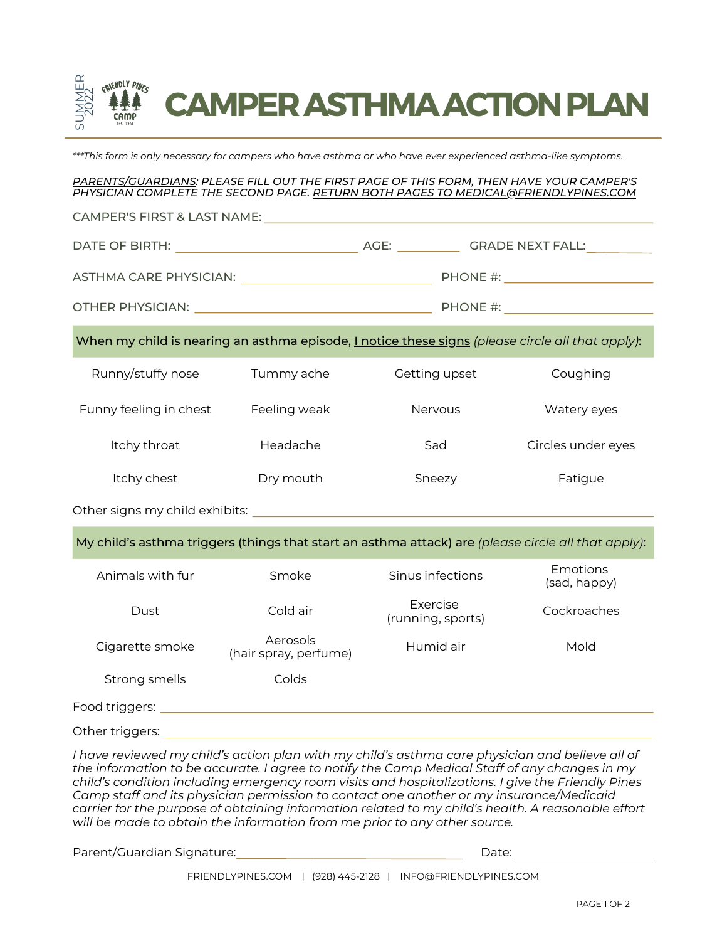

\*\*\*This form is only necessary for campers who have asthma or who have ever experienced asthma-like symptoms.

## *PARENTS/GUARDIANS: PLEASE FILL OUT THE FIRST PAGE OF THIS FORM, THEN HAVE YOUR CAMPER'S PHYSICIAN COMPLETE THE SECOND PAGE. RETURN BOTH PAGES TO MEDICAL@FRIENDLYPINES.COM*

Runny/stuffy nose Tummy ache Getting upset Coughing Funny feeling in chest Feeling weak Nervous Nervous Watery eyes Itchy throat **Headache** Sad Circles under eyes Itchy chest Dry mouth Sneezy Fatigue When my child is nearing an asthma episode, I notice these signs *(please circle all that apply)*: DATE OF BIRTH: AGE: GRADE NEXT FALL: CAMPER'S FIRST & LAST NAME: ASTHMA CARE PHYSICIAN: PHONE #: OTHER PHYSICIAN: PHONE #:

Other signs my child exhibits:

My child's asthma triggers (things that start an asthma attack) are *(please circle all that apply)*:

| Animals with fur | Smoke                             | Sinus infections              | Emotions<br>(sad, happy) |
|------------------|-----------------------------------|-------------------------------|--------------------------|
| Dust             | Cold air                          | Exercise<br>(running, sports) | Cockroaches              |
| Cigarette smoke  | Aerosols<br>(hair spray, perfume) | Humid air                     | Mold                     |
| Strong smells    | Colds                             |                               |                          |
| Food triggers:   |                                   |                               |                          |

Other triggers:  $\blacksquare$ 

*I have reviewed my child's action plan with my child's asthma care physician and believe all of the information to be accurate. I agree to notify the Camp Medical Staff of any changes in my child's condition including emergency room visits and hospitalizations. I give the Friendly Pines Camp staff and its physician permission to contact one another or my insurance/Medicaid carrier for the purpose of obtaining information related to my child's health. A reasonable effort will be made to obtain the information from me prior to any other source.*

Parent/Guardian Signature:

Date: